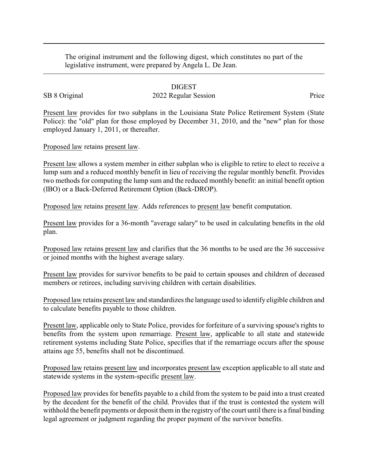The original instrument and the following digest, which constitutes no part of the legislative instrument, were prepared by Angela L. De Jean.

## DIGEST

## SB 8 Original 2022 Regular Session Price

Present law provides for two subplans in the Louisiana State Police Retirement System (State Police): the "old" plan for those employed by December 31, 2010, and the "new" plan for those employed January 1, 2011, or thereafter.

Proposed law retains present law.

Present law allows a system member in either subplan who is eligible to retire to elect to receive a lump sum and a reduced monthly benefit in lieu of receiving the regular monthly benefit. Provides two methods for computing the lump sum and the reduced monthly benefit: an initial benefit option (IBO) or a Back-Deferred Retirement Option (Back-DROP).

Proposed law retains present law. Adds references to present law benefit computation.

Present law provides for a 36-month "average salary" to be used in calculating benefits in the old plan.

Proposed law retains present law and clarifies that the 36 months to be used are the 36 successive or joined months with the highest average salary.

Present law provides for survivor benefits to be paid to certain spouses and children of deceased members or retirees, including surviving children with certain disabilities.

Proposed law retains present law and standardizes the language used to identify eligible children and to calculate benefits payable to those children.

Present law, applicable only to State Police, provides for forfeiture of a surviving spouse's rights to benefits from the system upon remarriage. Present law, applicable to all state and statewide retirement systems including State Police, specifies that if the remarriage occurs after the spouse attains age 55, benefits shall not be discontinued.

Proposed law retains present law and incorporates present law exception applicable to all state and statewide systems in the system-specific present law.

Proposed law provides for benefits payable to a child from the system to be paid into a trust created by the decedent for the benefit of the child. Provides that if the trust is contested the system will withhold the benefit payments or deposit them in the registry of the court until there is a final binding legal agreement or judgment regarding the proper payment of the survivor benefits.